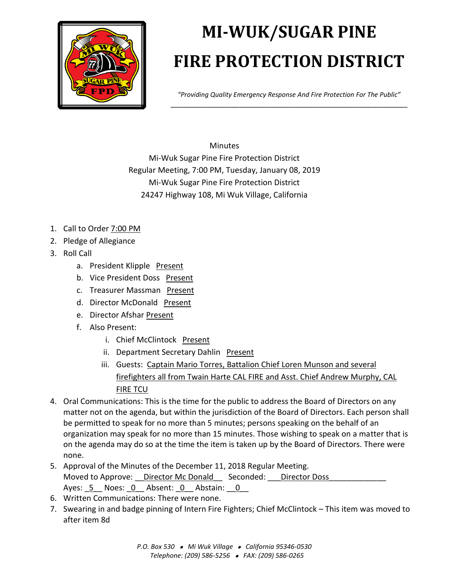

## **MI-WUK/SUGAR PINE FIRE PROTECTION DISTRICT**

*"Providing Quality Emergency Response And Fire Protection For The Public"* \_\_\_\_\_\_\_\_\_\_\_\_\_\_\_\_\_\_\_\_\_\_\_\_\_\_\_\_\_\_\_\_\_\_\_\_\_\_\_\_\_\_\_\_\_\_\_\_\_\_\_\_\_\_\_\_\_\_\_

Minutes Mi-Wuk Sugar Pine Fire Protection District Regular Meeting, 7:00 PM, Tuesday, January 08, 2019 Mi-Wuk Sugar Pine Fire Protection District 24247 Highway 108, Mi Wuk Village, California

- 1. Call to Order 7:00 PM
- 2. Pledge of Allegiance
- 3. Roll Call
	- a. President Klipple Present
	- b. Vice President Doss Present
	- c. Treasurer Massman Present
	- d. Director McDonald Present
	- e. Director Afshar Present
	- f. Also Present:
		- i. Chief McClintock Present
		- ii. Department Secretary Dahlin Present
		- iii. Guests: Captain Mario Torres, Battalion Chief Loren Munson and several firefighters all from Twain Harte CAL FIRE and Asst. Chief Andrew Murphy, CAL FIRE TCU
- 4. Oral Communications: This is the time for the public to address the Board of Directors on any matter not on the agenda, but within the jurisdiction of the Board of Directors. Each person shall be permitted to speak for no more than 5 minutes; persons speaking on the behalf of an organization may speak for no more than 15 minutes. Those wishing to speak on a matter that is on the agenda may do so at the time the item is taken up by the Board of Directors. There were none.
- 5. Approval of the Minutes of the December 11, 2018 Regular Meeting. Moved to Approve: Director Mc Donald Seconded: Director Doss Ayes: 5 Noes: 0 Absent: 0 Abstain: 0
- 6. Written Communications: There were none.
- 7. Swearing in and badge pinning of Intern Fire Fighters; Chief McClintock This item was moved to after item 8d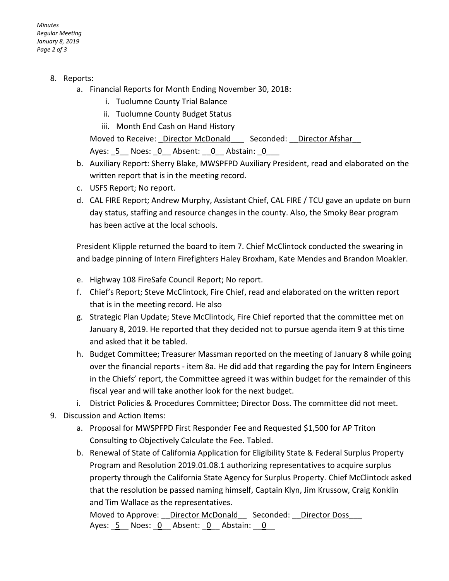*Minutes Regular Meeting January 8, 2019 Page 2 of 3*

- 8. Reports:
	- a. Financial Reports for Month Ending November 30, 2018:
		- i. Tuolumne County Trial Balance
		- ii. Tuolumne County Budget Status
		- iii. Month End Cash on Hand History

Moved to Receive: Director McDonald \_\_ Seconded: \_ Director Afshar Ayes: 5 Noes: 0 Absent: 0 Abstain: 0

- b. Auxiliary Report: Sherry Blake, MWSPFPD Auxiliary President, read and elaborated on the written report that is in the meeting record.
- c. USFS Report; No report.
- d. CAL FIRE Report; Andrew Murphy, Assistant Chief, CAL FIRE / TCU gave an update on burn day status, staffing and resource changes in the county. Also, the Smoky Bear program has been active at the local schools.

President Klipple returned the board to item 7. Chief McClintock conducted the swearing in and badge pinning of Intern Firefighters Haley Broxham, Kate Mendes and Brandon Moakler.

- e. Highway 108 FireSafe Council Report; No report.
- f. Chief's Report; Steve McClintock, Fire Chief, read and elaborated on the written report that is in the meeting record. He also
- g. Strategic Plan Update; Steve McClintock, Fire Chief reported that the committee met on January 8, 2019. He reported that they decided not to pursue agenda item 9 at this time and asked that it be tabled.
- h. Budget Committee; Treasurer Massman reported on the meeting of January 8 while going over the financial reports - item 8a. He did add that regarding the pay for Intern Engineers in the Chiefs' report, the Committee agreed it was within budget for the remainder of this fiscal year and will take another look for the next budget.
- i. District Policies & Procedures Committee; Director Doss. The committee did not meet.
- 9. Discussion and Action Items:
	- a. Proposal for MWSPFPD First Responder Fee and Requested \$1,500 for AP Triton Consulting to Objectively Calculate the Fee. Tabled.
	- b. Renewal of State of California Application for Eligibility State & Federal Surplus Property Program and Resolution 2019.01.08.1 authorizing representatives to acquire surplus property through the California State Agency for Surplus Property. Chief McClintock asked that the resolution be passed naming himself, Captain Klyn, Jim Krussow, Craig Konklin and Tim Wallace as the representatives.

Moved to Approve: Director McDonald Seconded: Director Doss Ayes: 5\_\_ Noes: 0\_\_ Absent: 0\_\_ Abstain: 0\_